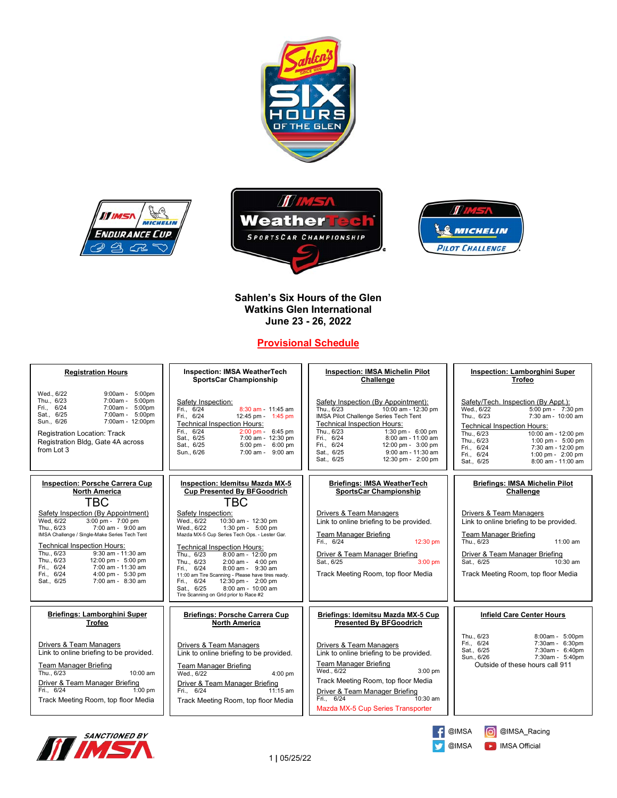







# **Sahlen's Six Hours of the Glen Watkins Glen International June 23 - 26, 2022**

# **Provisional Schedule**

| <b>Registration Hours</b>                                                                                                                                                                                                                                                                                                                                                            | <b>Inspection: IMSA WeatherTech</b><br><b>SportsCar Championship</b>                                                                                                                                                                                                                                                                                                                                                                                               | <b>Inspection: IMSA Michelin Pilot</b><br>Challenge                                                                                                                                                                                                                                                                                            | <b>Inspection: Lamborghini Super</b><br><b>Trofeo</b>                                                                                                                                                                                                                                                                                 |
|--------------------------------------------------------------------------------------------------------------------------------------------------------------------------------------------------------------------------------------------------------------------------------------------------------------------------------------------------------------------------------------|--------------------------------------------------------------------------------------------------------------------------------------------------------------------------------------------------------------------------------------------------------------------------------------------------------------------------------------------------------------------------------------------------------------------------------------------------------------------|------------------------------------------------------------------------------------------------------------------------------------------------------------------------------------------------------------------------------------------------------------------------------------------------------------------------------------------------|---------------------------------------------------------------------------------------------------------------------------------------------------------------------------------------------------------------------------------------------------------------------------------------------------------------------------------------|
| Wed., 6/22<br>5:00pm<br>9:00am -<br>Thu., 6/23<br>7:00am -<br>5:00pm<br>Fri., 6/24<br>7:00am - 5:00pm<br>Sat., 6/25<br>7:00am - 5:00pm<br>7:00am - 12:00pm<br>Sun., 6/26<br><b>Registration Location: Track</b><br>Registration Bldg, Gate 4A across<br>from Lot 3                                                                                                                   | Safety Inspection:<br>Fri., 6/24<br>8:30 am - 11:45 am<br>Fri., 6/24<br>12:45 pm - 1:45 pm<br><b>Technical Inspection Hours:</b><br>Fri., 6/24<br>2:00 pm - 6:45 pm<br>Sat., 6/25<br>7:00 am - 12:30 pm<br>5:00 pm - 6:00 pm<br>Sat., 6/25<br>Sun., 6/26<br>7:00 am - 9:00 am                                                                                                                                                                                      | Safety Inspection (By Appointment):<br>10:00 am - $12:30$ pm<br>Thu., 6/23<br>IMSA Pilot Challenge Series Tech Tent<br><b>Technical Inspection Hours:</b><br>Thu., 6/23<br>1:30 pm - $6:00$ pm<br>Fri., 6/24<br>8:00 am - 11:00 am<br>Fri., 6/24<br>12:00 pm - 3:00 pm<br>Sat., 6/25<br>9:00 am - 11:30 am<br>12:30 pm - 2:00 pm<br>Sat., 6/25 | Safety/Tech. Inspection (By Appt.):<br>Wed., 6/22<br>5:00 pm - 7:30 pm<br>Thu., 6/23<br>7:30 am - 10:00 am<br><b>Technical Inspection Hours:</b><br>Thu., 6/23<br>$10:00$ am - 12:00 pm<br>Thu., 6/23<br>1:00 pm - 5:00 pm<br>Fri., 6/24<br>7:30 am - 12:00 pm<br>1:00 pm - 2:00 pm<br>Fri., 6/24<br>8:00 am - 11:00 am<br>Sat., 6/25 |
| <b>Inspection: Porsche Carrera Cup</b><br><b>North America</b><br>TBC                                                                                                                                                                                                                                                                                                                | <b>Inspection: Idemitsu Mazda MX-5</b><br><b>Cup Presented By BFGoodrich</b><br><b>TBC</b>                                                                                                                                                                                                                                                                                                                                                                         | <b>Briefings: IMSA WeatherTech</b><br><b>SportsCar Championship</b>                                                                                                                                                                                                                                                                            | Briefings: IMSA Michelin Pilot<br>Challenge                                                                                                                                                                                                                                                                                           |
| Safety Inspection (By Appointment)<br>3:00 pm - 7:00 pm<br>Wed, 6/22<br>7:00 am - 9:00 am<br>Thu., 6/23<br>IMSA Challenge / Single-Make Series Tech Tent<br><b>Technical Inspection Hours:</b><br>Thu., 6/23<br>9:30 am - 11:30 am<br>Thu., 6/23<br>12:00 pm - 5:00 pm<br>Fri., 6/24<br>7:00 am - 11:30 am<br>Fri., 6/24<br>4:00 pm - 5:30 pm<br>$7:00$ am - $8:30$ am<br>Sat., 6/25 | Safety Inspection:<br>Wed., 6/22<br>10:30 am - 12:30 pm<br>Wed., 6/22<br>1:30 pm - 5:00 pm<br>Mazda MX-5 Cup Series Tech Ops. - Lester Gar.<br><b>Technical Inspection Hours:</b><br>Thu., 6/23<br>8:00 am - 12:00 pm<br>Thu., 6/23<br>2:00 am - 4:00 pm<br>Fri., 6/24<br>8:00 am - 9:30 am<br>11:00 am Tire Scanning - Please have tires ready.<br>Fri., 6/24<br>12:30 pm - 2:00 pm<br>8:00 am - 10:00 am<br>Sat., 6/25<br>Tire Scanning on Grid prior to Race #2 | <b>Drivers &amp; Team Managers</b><br>Link to online briefing to be provided.<br><b>Team Manager Briefing</b><br>Fri., 6/24<br>12:30 pm<br>Driver & Team Manager Briefing<br>Sat., 6/25<br>$3:00$ pm<br>Track Meeting Room, top floor Media                                                                                                    | <b>Drivers &amp; Team Managers</b><br>Link to online briefing to be provided.<br><b>Team Manager Briefing</b><br>Thu., 6/23<br>11:00 am<br>Driver & Team Manager Briefing<br>Sat., 6/25<br>10:30 am<br>Track Meeting Room, top floor Media                                                                                            |
| Briefings: Lamborghini Super<br><b>Trofeo</b>                                                                                                                                                                                                                                                                                                                                        | <b>Briefings: Porsche Carrera Cup</b><br><b>North America</b>                                                                                                                                                                                                                                                                                                                                                                                                      | Briefings: Idemitsu Mazda MX-5 Cup<br><b>Presented By BFGoodrich</b>                                                                                                                                                                                                                                                                           | <b>Infield Care Center Hours</b>                                                                                                                                                                                                                                                                                                      |
| Drivers & Team Managers<br>Link to online briefing to be provided.<br><b>Team Manager Briefing</b><br>Thu., 6/23<br>10:00 am<br>Driver & Team Manager Briefing<br>Fri., 6/24<br>$1:00$ pm<br>Track Meeting Room, top floor Media                                                                                                                                                     | Drivers & Team Managers<br>Link to online briefing to be provided.<br><b>Team Manager Briefing</b><br>Wed., 6/22<br>$4:00$ pm<br>Driver & Team Manager Briefing<br>6/24<br>Fin.<br>$11:15$ am<br>Track Meeting Room, top floor Media                                                                                                                                                                                                                               | Drivers & Team Managers<br>Link to online briefing to be provided.<br><b>Team Manager Briefing</b><br>Wed., 6/22<br>$3:00$ pm<br>Track Meeting Room, top floor Media<br>Driver & Team Manager Briefing<br>Fri., 6/24<br>$10:30$ am<br>Mazda MX-5 Cup Series Transporter                                                                        | Thu., 6/23<br>8:00am - 5:00pm<br>Fri., 6/24<br>7:30am - 6:30pm<br>Sat., 6/25<br>7:30am - 6:40pm<br>7:30am - 5:40pm<br>Sun., 6/26<br>Outside of these hours call 911                                                                                                                                                                   |





C @IMSA\_Racing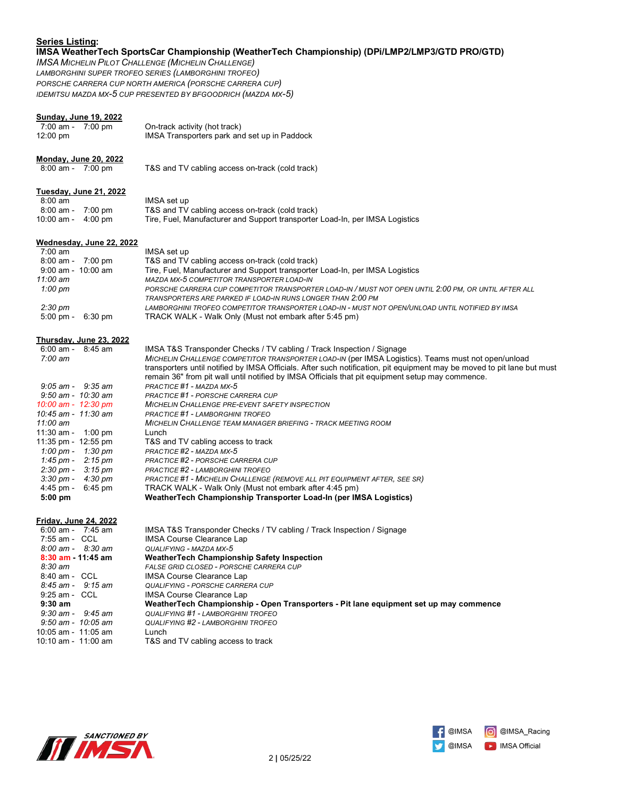# **Series Listing:**

# **IMSA WeatherTech SportsCar Championship (WeatherTech Championship) (DPi/LMP2/LMP3/GTD PRO/GTD)**

*IMSA MICHELIN PILOT CHALLENGE (MICHELIN CHALLENGE) LAMBORGHINI SUPER TROFEO SERIES (LAMBORGHINI TROFEO) PORSCHE CARRERA CUP NORTH AMERICA (PORSCHE CARRERA CUP) IDEMITSU MAZDA MX-5 CUP PRESENTED BY BFGOODRICH (MAZDA MX-5)*

# **Sunday, June 19, 2022**

| $7:00$ am -<br>7:00 pm<br>12:00 pm                          | On-track activity (hot track)<br>IMSA Transporters park and set up in Paddock                                                                                                                                               |
|-------------------------------------------------------------|-----------------------------------------------------------------------------------------------------------------------------------------------------------------------------------------------------------------------------|
| <b>Monday, June 20, 2022</b>                                |                                                                                                                                                                                                                             |
| 8:00 am - 7:00 pm                                           | T&S and TV cabling access on-track (cold track)                                                                                                                                                                             |
| <b>Tuesday, June 21, 2022</b>                               |                                                                                                                                                                                                                             |
| $8:00$ am                                                   | IMSA set up                                                                                                                                                                                                                 |
| 8:00 am - 7:00 pm                                           | T&S and TV cabling access on-track (cold track)                                                                                                                                                                             |
| 10:00 am - 4:00 pm                                          | Tire, Fuel, Manufacturer and Support transporter Load-In, per IMSA Logistics                                                                                                                                                |
| Wednesday, June 22, 2022                                    |                                                                                                                                                                                                                             |
| 7:00 am                                                     | IMSA set up                                                                                                                                                                                                                 |
| 8:00 am - 7:00 pm                                           | T&S and TV cabling access on-track (cold track)                                                                                                                                                                             |
| 9:00 am - 10:00 am                                          | Tire, Fuel, Manufacturer and Support transporter Load-In, per IMSA Logistics                                                                                                                                                |
| 11:00 am                                                    | MAZDA MX-5 COMPETITOR TRANSPORTER LOAD-IN                                                                                                                                                                                   |
| $1:00 \text{ pm}$                                           | PORSCHE CARRERA CUP COMPETITOR TRANSPORTER LOAD-IN / MUST NOT OPEN UNTIL 2:00 PM, OR UNTIL AFTER ALL                                                                                                                        |
|                                                             | TRANSPORTERS ARE PARKED IF LOAD-IN RUNS LONGER THAN 2:00 PM<br>LAMBORGHINI TROFEO COMPETITOR TRANSPORTER LOAD-IN - MUST NOT OPEN/UNLOAD UNTIL NOTIFIED BY IMSA                                                              |
| $2:30 \text{ pm}$<br>$5:00 \text{ pm} -$<br>$6:30$ pm       | TRACK WALK - Walk Only (Must not embark after 5:45 pm)                                                                                                                                                                      |
| Thursday, June 23, 2022                                     |                                                                                                                                                                                                                             |
| $6:00 \text{ am } -$<br>$8:45$ am                           | IMSA T&S Transponder Checks / TV cabling / Track Inspection / Signage                                                                                                                                                       |
| $7:00$ am                                                   | MICHELIN CHALLENGE COMPETITOR TRANSPORTER LOAD-IN (per IMSA Logistics). Teams must not open/unload                                                                                                                          |
|                                                             | transporters until notified by IMSA Officials. After such notification, pit equipment may be moved to pit lane but must<br>remain 36" from pit wall until notified by IMSA Officials that pit equipment setup may commence. |
| $9:05$ am - $9:35$ am                                       | PRACTICE #1 - MAZDA MX-5                                                                                                                                                                                                    |
| 9:50 am - 10:30 am                                          | PRACTICE #1 - PORSCHE CARRERA CUP                                                                                                                                                                                           |
| 10:00 am - 12:30 pm                                         | MICHELIN CHALLENGE PRE-EVENT SAFETY INSPECTION                                                                                                                                                                              |
| 10:45 am - 11:30 am                                         | <b>PRACTICE #1 - LAMBORGHINI TROFEO</b>                                                                                                                                                                                     |
| 11:00 am                                                    | <b>MICHELIN CHALLENGE TEAM MANAGER BRIEFING - TRACK MEETING ROOM</b>                                                                                                                                                        |
| 11:30 am - 1:00 pm                                          | Lunch                                                                                                                                                                                                                       |
| 11:35 pm - 12:55 pm                                         | T&S and TV cabling access to track                                                                                                                                                                                          |
| 1:00 pm - 1:30 pm                                           | PRACTICE #2 - MAZDA MX-5                                                                                                                                                                                                    |
| 1:45 pm - $2:15$ pm                                         | PRACTICE #2 - PORSCHE CARRERA CUP                                                                                                                                                                                           |
| $2:30 \text{ pm} - 3:15 \text{ pm}$<br>3:30 pm -<br>4:30 pm | PRACTICE #2 - LAMBORGHINI TROFEO<br><b>PRACTICE #1 - MICHELIN CHALLENGE (REMOVE ALL PIT EQUIPMENT AFTER, SEE SR)</b>                                                                                                        |
| 4:45 pm -<br>6:45 pm                                        | TRACK WALK - Walk Only (Must not embark after 4:45 pm)                                                                                                                                                                      |
| $5:00$ pm                                                   | WeatherTech Championship Transporter Load-In (per IMSA Logistics)                                                                                                                                                           |
| <b>Friday, June 24, 2022</b>                                |                                                                                                                                                                                                                             |
| $6:00$ am - 7:45 am                                         | IMSA T&S Transponder Checks / TV cabling / Track Inspection / Signage                                                                                                                                                       |
| 7:55 am - CCL                                               | <b>IMSA Course Clearance Lap</b>                                                                                                                                                                                            |
| $8:00$ am - $8:30$ am                                       | QUALIFYING - MAZDA MX-5                                                                                                                                                                                                     |
| $8:30$ am $11:45$ am                                        | <b>WeatherTech Championship Safety Inspection</b>                                                                                                                                                                           |
| $8:30 \text{ am}$                                           | FALSE GRID CLOSED - PORSCHE CARRERA CUP                                                                                                                                                                                     |
| 8:40 am - CCL                                               | <b>IMSA Course Clearance Lap</b>                                                                                                                                                                                            |
| $8:45$ am - $9:15$ am                                       | QUALIFYING - PORSCHE CARRERA CUP                                                                                                                                                                                            |
| 9:25 am - CCL                                               | IMSA Course Clearance Lap                                                                                                                                                                                                   |
| $9:30$ am                                                   | WeatherTech Championship - Open Transporters - Pit lane equipment set up may commence                                                                                                                                       |
| $9:30$ am - $9:45$ am                                       | QUALIFYING #1 - LAMBORGHINI TROFEO                                                                                                                                                                                          |
| 9:50 am - 10:05 am                                          | <b>QUALIFYING #2 - LAMBORGHINI TROFEO</b>                                                                                                                                                                                   |
| 10:05 am - 11:05 am                                         | Lunch                                                                                                                                                                                                                       |
| 10:10 am - 11:00 am                                         | T&S and TV cabling access to track                                                                                                                                                                                          |



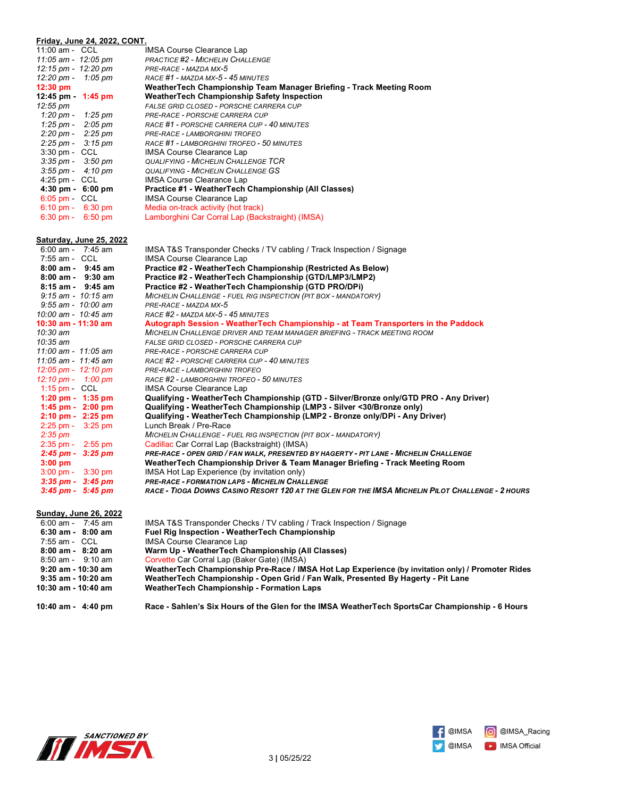| Friday, June 24, 2022, CONT.          |                                                                                                                              |
|---------------------------------------|------------------------------------------------------------------------------------------------------------------------------|
| 11:00 am - CCL                        | <b>IMSA Course Clearance Lap</b>                                                                                             |
| 11:05 am - 12:05 pm                   | <b>PRACTICE #2 - MICHELIN CHALLENGE</b>                                                                                      |
| 12:15 pm - 12:20 pm                   | PRE-RACE - MAZDA MX-5                                                                                                        |
| 12:20 pm - 1:05 pm                    | RACE #1 - MAZDA MX-5 - 45 MINUTES                                                                                            |
| 12:30 pm                              | WeatherTech Championship Team Manager Briefing - Track Meeting Room                                                          |
| 12:45 pm - 1:45 pm                    | <b>WeatherTech Championship Safety Inspection</b>                                                                            |
| 12:55 pm                              | <b>FALSE GRID CLOSED - PORSCHE CARRERA CUP</b>                                                                               |
| 1:20 pm - 1:25 pm                     | PRE-RACE - PORSCHE CARRERA CUP                                                                                               |
| 1:25 pm - 2:05 pm                     | RACE #1 - PORSCHE CARRERA CUP - 40 MINUTES                                                                                   |
| $2:20 \text{ pm} - 2:25 \text{ pm}$   | PRE-RACE - LAMBORGHINI TROFEO                                                                                                |
| 2:25 pm - 3:15 pm<br>3:30 pm - CCL    | RACE #1 - LAMBORGHINI TROFEO - 50 MINUTES<br><b>IMSA Course Clearance Lap</b>                                                |
| $3:35 \text{ pm} - 3:50 \text{ pm}$   | <b>QUALIFYING - MICHELIN CHALLENGE TCR</b>                                                                                   |
| $3:55 \text{ pm} - 4:10 \text{ pm}$   | <b>QUALIFYING - MICHELIN CHALLENGE GS</b>                                                                                    |
| $4:25$ pm - $CCL$                     | <b>IMSA Course Clearance Lap</b>                                                                                             |
| $4:30 \text{ pm} - 6:00 \text{ pm}$   | Practice #1 - WeatherTech Championship (All Classes)                                                                         |
| $6:05$ pm $\sim$ CCL                  | <b>IMSA Course Clearance Lap</b>                                                                                             |
| $6:10 \text{ pm} - 6:30 \text{ pm}$   | Media on-track activity (hot track)                                                                                          |
| $6:30 \text{ pm} - 6:50 \text{ pm}$   | Lamborghini Car Corral Lap (Backstraight) (IMSA)                                                                             |
|                                       |                                                                                                                              |
| <u>Saturday, June 25, 2022</u>        |                                                                                                                              |
| $6:00$ am - 7:45 am                   | IMSA T&S Transponder Checks / TV cabling / Track Inspection / Signage                                                        |
| 7:55 am - CCL                         | <b>IMSA Course Clearance Lap</b>                                                                                             |
| $8:00$ am - $9:45$ am                 | Practice #2 - WeatherTech Championship (Restricted As Below)                                                                 |
| $8:00$ am - $9:30$ am                 | Practice #2 - WeatherTech Championship (GTD/LMP3/LMP2)                                                                       |
| $8:15$ am - $9:45$ am                 | Practice #2 - WeatherTech Championship (GTD PRO/DPi)                                                                         |
| $9:15$ am - $10:15$ am                | MICHELIN CHALLENGE - FUEL RIG INSPECTION (PIT BOX - MANDATORY)                                                               |
| $9:55$ am - $10:00$ am                | PRE-RACE - MAZDA MX-5                                                                                                        |
| 10:00 am - 10:45 am                   | RACE #2 - MAZDA MX-5 - 45 MINUTES                                                                                            |
| 10:30 am - 11:30 am                   | Autograph Session - WeatherTech Championship - at Team Transporters in the Paddock                                           |
| 10:30 am                              | MICHELIN CHALLENGE DRIVER AND TEAM MANAGER BRIEFING - TRACK MEETING ROOM                                                     |
| 10:35 am                              | FALSE GRID CLOSED - PORSCHE CARRERA CUP                                                                                      |
| 11:00 am - 11:05 am                   | PRE-RACE - PORSCHE CARRERA CUP                                                                                               |
| 11:05 am - 11:45 am                   | RACE #2 - PORSCHE CARRERA CUP - 40 MINUTES                                                                                   |
| $12:05 \text{ pm} - 12:10 \text{ pm}$ | PRE-RACE - LAMBORGHINI TROFEO                                                                                                |
| 12:10 pm - 1:00 pm                    | RACE #2 - LAMBORGHINI TROFEO - 50 MINUTES                                                                                    |
| 1:15 pm $-$ CCL                       | <b>IMSA Course Clearance Lap</b>                                                                                             |
| $1:20 \text{ pm} - 1:35 \text{ pm}$   | Qualifying - WeatherTech Championship (GTD - Silver/Bronze only/GTD PRO - Any Driver)                                        |
| $1:45$ pm - $2:00$ pm                 | Qualifying - WeatherTech Championship (LMP3 - Silver <30/Bronze only)                                                        |
| $2:10 \text{ pm} - 2:25 \text{ pm}$   | Qualifying - WeatherTech Championship (LMP2 - Bronze only/DPi - Any Driver)                                                  |
| $2:25 \text{ pm} - 3:25 \text{ pm}$   | Lunch Break / Pre-Race                                                                                                       |
| $2:35$ pm                             | MICHELIN CHALLENGE - FUEL RIG INSPECTION (PIT BOX - MANDATORY)                                                               |
| $2:35$ pm - $2:55$ pm                 | Cadillac Car Corral Lap (Backstraight) (IMSA)                                                                                |
| $2:45$ pm - $3:25$ pm<br>$3:00$ pm    | PRE-RACE - OPEN GRID / FAN WALK, PRESENTED BY HAGERTY - PIT LANE - MICHELIN CHALLENGE                                        |
| $3:00 \text{ pm} - 3:30 \text{ pm}$   | WeatherTech Championship Driver & Team Manager Briefing - Track Meeting Room<br>IMSA Hot Lap Experience (by invitation only) |
| $3:35$ pm - $3:45$ pm                 | PRE-RACE - FORMATION LAPS - MICHELIN CHALLENGE                                                                               |
| $3:45$ pm - $5:45$ pm                 | RACE - TIOGA DOWNS CASINO RESORT 120 AT THE GLEN FOR THE IMSA MICHELIN PILOT CHALLENGE - 2 HOURS                             |
|                                       |                                                                                                                              |
| <b>Sunday, June 26, 2022</b>          |                                                                                                                              |
| $6:00$ am - 7:45 am                   | IMSA T&S Transponder Checks / TV cabling / Track Inspection / Signage                                                        |
| $6:30$ am - $8:00$ am                 | Fuel Rig Inspection - WeatherTech Championship                                                                               |
| 7:55 am - CCL                         | <b>IMSA Course Clearance Lap</b>                                                                                             |
| $8:00$ am - $8:20$ am                 | Warm Up - WeatherTech Championship (All Classes)                                                                             |
| $8:50$ am - $9:10$ am                 | Corvette Car Corral Lap (Baker Gate) (IMSA)                                                                                  |
| 9:20 am - 10:30 am                    | WeatherTech Championship Pre-Race / IMSA Hot Lap Experience (by invitation only) / Promoter Rides                            |
| $9:35$ am - 10:20 am                  | WeatherTech Championship - Open Grid / Fan Walk, Presented By Hagerty - Pit Lane                                             |
| 10:30 am - 10:40 am                   | <b>WeatherTech Championship - Formation Laps</b>                                                                             |
|                                       |                                                                                                                              |



**10:40 am - 4:40 pm Race - Sahlen's Six Hours of the Glen for the IMSA WeatherTech SportsCar Championship - 6 Hours**



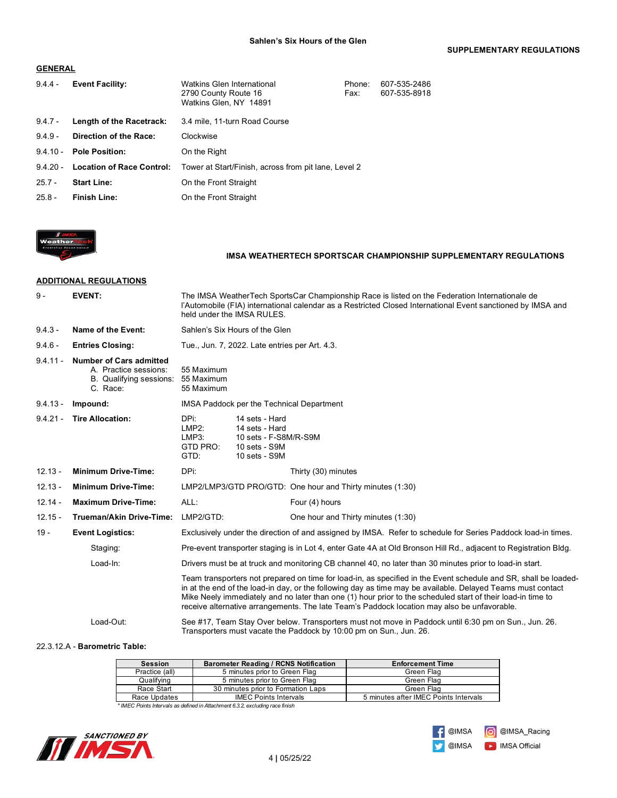#### **GENERAL**

| $9.4.4 -$  | <b>Event Facility:</b>           | Watkins Glen International<br>2790 County Route 16<br>Watkins Glen, NY 14891 | Phone:<br>Fax: | 607-535-2486<br>607-535-8918 |
|------------|----------------------------------|------------------------------------------------------------------------------|----------------|------------------------------|
| $9.4.7 -$  | Length of the Racetrack:         | 3.4 mile, 11-turn Road Course                                                |                |                              |
| $9.4.9 -$  | Direction of the Race:           | Clockwise                                                                    |                |                              |
| $9.4.10 -$ | <b>Pole Position:</b>            | On the Right                                                                 |                |                              |
| $94.20 -$  | <b>Location of Race Control:</b> | Tower at Start/Finish, across from pit lane, Level 2                         |                |                              |
| $25.7 -$   | <b>Start Line:</b>               | On the Front Straight                                                        |                |                              |
| $25.8 -$   | <b>Finish Line:</b>              | On the Front Straight                                                        |                |                              |



# **IMSA WEATHERTECH SPORTSCAR CHAMPIONSHIP SUPPLEMENTARY REGULATIONS**

# **ADDITIONAL REGULATIONS**

| $9 -$      | <b>EVENT:</b>                                                                                  | The IMSA Weather Tech Sports Car Championship Race is listed on the Federation Internationale de<br>l'Automobile (FIA) international calendar as a Restricted Closed International Event sanctioned by IMSA and<br>held under the IMSA RULES.                                                                                                                                                                                                |                                                                                             |                                                                                                                                                                            |
|------------|------------------------------------------------------------------------------------------------|----------------------------------------------------------------------------------------------------------------------------------------------------------------------------------------------------------------------------------------------------------------------------------------------------------------------------------------------------------------------------------------------------------------------------------------------|---------------------------------------------------------------------------------------------|----------------------------------------------------------------------------------------------------------------------------------------------------------------------------|
| $9.4.3 -$  | Name of the Event:                                                                             | Sahlen's Six Hours of the Glen                                                                                                                                                                                                                                                                                                                                                                                                               |                                                                                             |                                                                                                                                                                            |
| $9.4.6 -$  | <b>Entries Closing:</b>                                                                        |                                                                                                                                                                                                                                                                                                                                                                                                                                              | Tue., Jun. 7, 2022. Late entries per Art. 4.3.                                              |                                                                                                                                                                            |
| $9.4.11 -$ | <b>Number of Cars admitted</b><br>A. Practice sessions:<br>B. Qualifying sessions:<br>C. Race: | 55 Maximum<br>55 Maximum<br>55 Maximum                                                                                                                                                                                                                                                                                                                                                                                                       |                                                                                             |                                                                                                                                                                            |
| $9.4.13 -$ | Impound:                                                                                       |                                                                                                                                                                                                                                                                                                                                                                                                                                              | IMSA Paddock per the Technical Department                                                   |                                                                                                                                                                            |
| $9.4.21 -$ | <b>Tire Allocation:</b>                                                                        | DPi:<br>LMP2:<br>LMP3:<br>GTD PRO:<br>GTD:                                                                                                                                                                                                                                                                                                                                                                                                   | 14 sets - Hard<br>14 sets - Hard<br>10 sets - F-S8M/R-S9M<br>10 sets - S9M<br>10 sets - S9M |                                                                                                                                                                            |
| $12.13 -$  | <b>Minimum Drive-Time:</b>                                                                     | DPi:                                                                                                                                                                                                                                                                                                                                                                                                                                         |                                                                                             | Thirty (30) minutes                                                                                                                                                        |
| $12.13 -$  | <b>Minimum Drive-Time:</b>                                                                     |                                                                                                                                                                                                                                                                                                                                                                                                                                              |                                                                                             | LMP2/LMP3/GTD PRO/GTD: One hour and Thirty minutes (1:30)                                                                                                                  |
| $12.14 -$  | <b>Maximum Drive-Time:</b>                                                                     | ALL:                                                                                                                                                                                                                                                                                                                                                                                                                                         |                                                                                             | Four (4) hours                                                                                                                                                             |
| $12.15 -$  | Trueman/Akin Drive-Time:                                                                       | LMP2/GTD:                                                                                                                                                                                                                                                                                                                                                                                                                                    |                                                                                             | One hour and Thirty minutes (1:30)                                                                                                                                         |
| $19 -$     | <b>Event Logistics:</b>                                                                        | Exclusively under the direction of and assigned by IMSA. Refer to schedule for Series Paddock load-in times.                                                                                                                                                                                                                                                                                                                                 |                                                                                             |                                                                                                                                                                            |
|            | Staging:                                                                                       | Pre-event transporter staging is in Lot 4, enter Gate 4A at Old Bronson Hill Rd., adjacent to Registration Bldg.                                                                                                                                                                                                                                                                                                                             |                                                                                             |                                                                                                                                                                            |
|            | Load-In:                                                                                       | Drivers must be at truck and monitoring CB channel 40, no later than 30 minutes prior to load-in start.                                                                                                                                                                                                                                                                                                                                      |                                                                                             |                                                                                                                                                                            |
|            |                                                                                                | Team transporters not prepared on time for load-in, as specified in the Event schedule and SR, shall be loaded-<br>in at the end of the load-in day, or the following day as time may be available. Delayed Teams must contact<br>Mike Neely immediately and no later than one (1) hour prior to the scheduled start of their load-in time to<br>receive alternative arrangements. The late Team's Paddock location may also be unfavorable. |                                                                                             |                                                                                                                                                                            |
|            | Load-Out:                                                                                      |                                                                                                                                                                                                                                                                                                                                                                                                                                              |                                                                                             | See #17, Team Stay Over below. Transporters must not move in Paddock until 6:30 pm on Sun., Jun. 26.<br>Transporters must vacate the Paddock by 10:00 pm on Sun., Jun. 26. |

#### 22.3.12.A - **Barometric Table:**

| <b>Session</b> | <b>Barometer Reading / RCNS Notification</b> | <b>Enforcement Time</b>               |
|----------------|----------------------------------------------|---------------------------------------|
| Practice (all) | 5 minutes prior to Green Flag                | Green Flag                            |
| Qualifving     | 5 minutes prior to Green Flag                | Green Flag                            |
| Race Start     | 30 minutes prior to Formation Laps           | Green Flag                            |
| Race Updates   | <b>IMEC Points Intervals</b>                 | 5 minutes after IMEC Points Intervals |

*\* IMEC Points Intervals as defined in Attachment 6.3.2, excluding race finish*



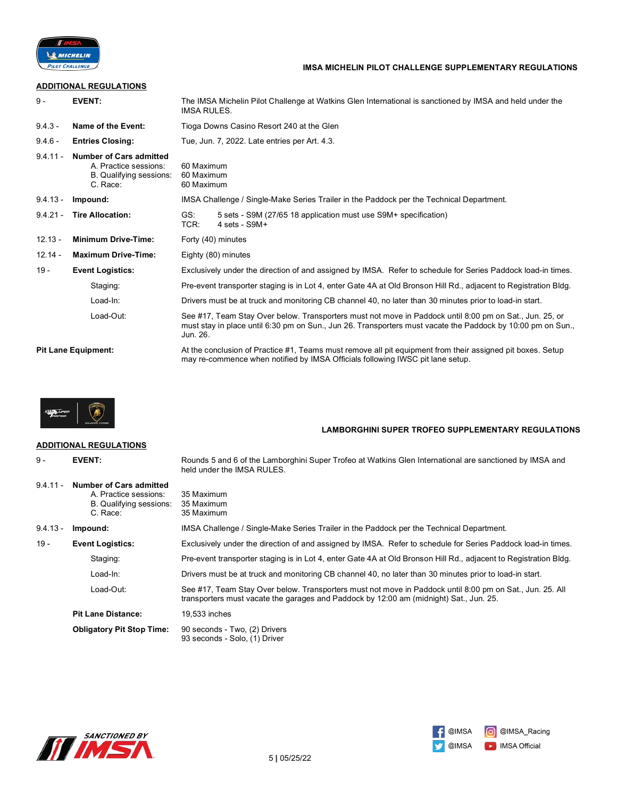

# **IMSA MICHELIN PILOT CHALLENGE SUPPLEMENTARY REGULATIONS**

### **ADDITIONAL REGULATIONS**

| $9 -$      | <b>EVENT:</b>                                                                                  | The IMSA Michelin Pilot Challenge at Watkins Glen International is sanctioned by IMSA and held under the<br>IMSA RULES.                                                                                                            |  |  |
|------------|------------------------------------------------------------------------------------------------|------------------------------------------------------------------------------------------------------------------------------------------------------------------------------------------------------------------------------------|--|--|
| $9.4.3 -$  | Name of the Event:                                                                             | Tioga Downs Casino Resort 240 at the Glen                                                                                                                                                                                          |  |  |
| $9.4.6 -$  | <b>Entries Closing:</b>                                                                        | Tue, Jun. 7, 2022. Late entries per Art. 4.3.                                                                                                                                                                                      |  |  |
| $9.4.11 -$ | <b>Number of Cars admitted</b><br>A. Practice sessions:<br>B. Qualifying sessions:<br>C. Race: | 60 Maximum<br>60 Maximum<br>60 Maximum                                                                                                                                                                                             |  |  |
| $9.4.13 -$ | Impound:                                                                                       | IMSA Challenge / Single-Make Series Trailer in the Paddock per the Technical Department.                                                                                                                                           |  |  |
| $9.4.21 -$ | <b>Tire Allocation:</b>                                                                        | GS:<br>5 sets - S9M (27/65 18 application must use S9M+ specification)<br>TCR:<br>$4 \text{ sets} - \text{S}9M+$                                                                                                                   |  |  |
| $12.13 -$  | <b>Minimum Drive-Time:</b>                                                                     | Forty (40) minutes                                                                                                                                                                                                                 |  |  |
| $12.14 -$  | <b>Maximum Drive-Time:</b>                                                                     | Eighty (80) minutes                                                                                                                                                                                                                |  |  |
| $19 -$     | <b>Event Logistics:</b>                                                                        | Exclusively under the direction of and assigned by IMSA. Refer to schedule for Series Paddock load-in times.                                                                                                                       |  |  |
|            | Staging:                                                                                       | Pre-event transporter staging is in Lot 4, enter Gate 4A at Old Bronson Hill Rd., adjacent to Registration Bldg.                                                                                                                   |  |  |
| Load-In:   |                                                                                                | Drivers must be at truck and monitoring CB channel 40, no later than 30 minutes prior to load-in start.                                                                                                                            |  |  |
|            | Load-Out:                                                                                      | See #17, Team Stay Over below. Transporters must not move in Paddock until 8:00 pm on Sat., Jun. 25, or<br>must stay in place until 6:30 pm on Sun., Jun 26. Transporters must vacate the Paddock by 10:00 pm on Sun.,<br>Jun. 26. |  |  |
|            | <b>Pit Lane Equipment:</b>                                                                     | At the conclusion of Practice #1, Teams must remove all pit equipment from their assigned pit boxes. Setup<br>may re-commence when notified by IMSA Officials following IWSC pit lane setup.                                       |  |  |



### **ADDITIONAL REGULATIONS**

**LAMBORGHINI SUPER TROFEO SUPPLEMENTARY REGULATIONS**

|            |                                                                                                | held under the IMSA RULES.                                                                                                                                                                         |
|------------|------------------------------------------------------------------------------------------------|----------------------------------------------------------------------------------------------------------------------------------------------------------------------------------------------------|
| $9.4.11 -$ | <b>Number of Cars admitted</b><br>A. Practice sessions:<br>B. Qualifying sessions:<br>C. Race: | 35 Maximum<br>35 Maximum<br>35 Maximum                                                                                                                                                             |
| $9.4.13 -$ | Impound:                                                                                       | IMSA Challenge / Single-Make Series Trailer in the Paddock per the Technical Department.                                                                                                           |
| $19 -$     | <b>Event Logistics:</b>                                                                        | Exclusively under the direction of and assigned by IMSA. Refer to schedule for Series Paddock load-in times.                                                                                       |
|            | Staging:                                                                                       | Pre-event transporter staging is in Lot 4, enter Gate 4A at Old Bronson Hill Rd., adjacent to Registration Bldg.                                                                                   |
|            | Load-In:                                                                                       | Drivers must be at truck and monitoring CB channel 40, no later than 30 minutes prior to load-in start.                                                                                            |
|            | Load-Out:                                                                                      | See #17, Team Stay Over below. Transporters must not move in Paddock until 8:00 pm on Sat., Jun. 25. All<br>transporters must vacate the garages and Paddock by 12:00 am (midnight) Sat., Jun. 25. |
|            | <b>Pit Lane Distance:</b>                                                                      | 19.533 inches                                                                                                                                                                                      |
|            | <b>Obligatory Pit Stop Time:</b>                                                               | 90 seconds - Two, (2) Drivers<br>93 seconds - Solo, (1) Driver                                                                                                                                     |

9 - **EVENT:** Rounds 5 and 6 of the Lamborghini Super Trofeo at Watkins Glen International are sanctioned by IMSA and



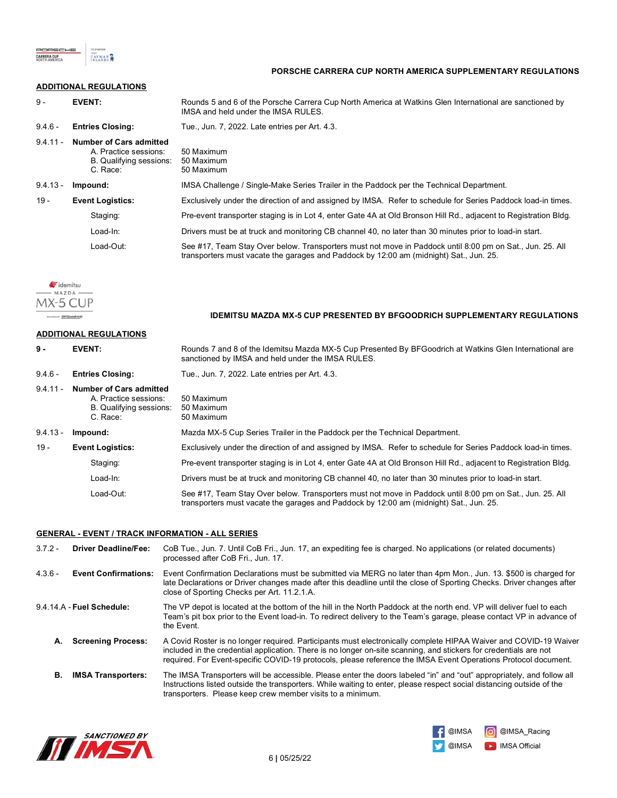

#### **PORSCHE CARRERA CUP NORTH AMERICA SUPPLEMENTARY REGULATIONS**

# **ADDITIONAL REGULATIONS**

| 9 -                               | <b>EVENT:</b>                                                                                                                            | Rounds 5 and 6 of the Porsche Carrera Cup North America at Watkins Glen International are sanctioned by<br>IMSA and held under the IMSA RULES.                                                     |  |
|-----------------------------------|------------------------------------------------------------------------------------------------------------------------------------------|----------------------------------------------------------------------------------------------------------------------------------------------------------------------------------------------------|--|
| $9.4.6 -$                         | <b>Entries Closing:</b>                                                                                                                  | Tue., Jun. 7, 2022. Late entries per Art. 4.3.                                                                                                                                                     |  |
| $9.4.11 -$                        | <b>Number of Cars admitted</b><br>50 Maximum<br>A. Practice sessions:<br>B. Qualifying sessions:<br>50 Maximum<br>C. Race:<br>50 Maximum |                                                                                                                                                                                                    |  |
| $9.4.13 -$                        | Impound:                                                                                                                                 | IMSA Challenge / Single-Make Series Trailer in the Paddock per the Technical Department.                                                                                                           |  |
| $19 -$                            | <b>Event Logistics:</b>                                                                                                                  | Exclusively under the direction of and assigned by IMSA. Refer to schedule for Series Paddock load-in times.                                                                                       |  |
|                                   | Staging:                                                                                                                                 | Pre-event transporter staging is in Lot 4, enter Gate 4A at Old Bronson Hill Rd., adjacent to Registration Bldg.                                                                                   |  |
|                                   | Load-In:                                                                                                                                 | Drivers must be at truck and monitoring CB channel 40, no later than 30 minutes prior to load-in start.                                                                                            |  |
|                                   | Load-Out:                                                                                                                                | See #17, Team Stay Over below. Transporters must not move in Paddock until 8:00 pm on Sat., Jun. 25. All<br>transporters must vacate the garages and Paddock by 12:00 am (midnight) Sat., Jun. 25. |  |
| MX-5.<br>PRISINTIO IT: BFGoodrich |                                                                                                                                          | IDEMITSU MAZDA MX-5 CUP PRESENTED BY BFGOODRICH SUPPLEMENTARY REGULATIONS                                                                                                                          |  |
|                                   | <b>ADDITIONAL REGULATIONS</b>                                                                                                            |                                                                                                                                                                                                    |  |
| 9 -                               | <b>EVENT:</b>                                                                                                                            | Rounds 7 and 8 of the Idemitsu Mazda MX-5 Cup Presented By BFGoodrich at Watkins Glen International are<br>sanctioned by IMSA and held under the IMSA RULES.                                       |  |
| $9.4.6 -$                         | <b>Entries Closing:</b>                                                                                                                  | Tue., Jun. 7, 2022. Late entries per Art. 4.3.                                                                                                                                                     |  |
| $9.4.11 -$                        | <b>Number of Cars admitted</b><br>A. Practice sessions:<br>B. Qualifying sessions:<br>C. Race:                                           | 50 Maximum<br>50 Maximum<br>50 Maximum                                                                                                                                                             |  |
| $9.4.13 -$                        | Impound:                                                                                                                                 | Mazda MX-5 Cup Series Trailer in the Paddock per the Technical Department.                                                                                                                         |  |
| 19 -                              | <b>Event Logistics:</b>                                                                                                                  | Exclusively under the direction of and assigned by IMSA. Refer to schedule for Series Paddock load-in times.                                                                                       |  |
|                                   | Staging:                                                                                                                                 | Pre-event transporter staging is in Lot 4, enter Gate 4A at Old Bronson Hill Rd., adjacent to Registration Bldg.                                                                                   |  |
|                                   | Load-In:                                                                                                                                 | Drivers must be at truck and monitoring CB channel 40, no later than 30 minutes prior to load-in start.                                                                                            |  |

Load-Out: See #17, Team Stay Over below. Transporters must not move in Paddock until 8:00 pm on Sat., Jun. 25. All transporters must vacate the garages and Paddock by 12:00 am (midnight) Sat., Jun. 25.

### **GENERAL - EVENT / TRACK INFORMATION - ALL SERIES**

| $3.7.2 -$ | <b>Driver Deadline/Fee:</b> | CoB Tue., Jun. 7. Until CoB Fri., Jun. 17, an expediting fee is charged. No applications (or related documents)<br>processed after CoB Fri., Jun. 17.                                                                                                                                                                                                   |
|-----------|-----------------------------|---------------------------------------------------------------------------------------------------------------------------------------------------------------------------------------------------------------------------------------------------------------------------------------------------------------------------------------------------------|
| $4.3.6 -$ | <b>Event Confirmations:</b> | Event Confirmation Declarations must be submitted via MERG no later than 4pm Mon., Jun. 13. \$500 is charged for<br>late Declarations or Driver changes made after this deadline until the close of Sporting Checks. Driver changes after<br>close of Sporting Checks per Art. 11.2.1.A.                                                                |
|           | 9.4.14.A - Fuel Schedule:   | The VP depot is located at the bottom of the hill in the North Paddock at the north end. VP will deliver fuel to each<br>Team's pit box prior to the Event load-in. To redirect delivery to the Team's garage, please contact VP in advance of<br>the Event.                                                                                            |
| А.        | <b>Screening Process:</b>   | A Covid Roster is no longer required. Participants must electronically complete HIPAA Waiver and COVID-19 Waiver<br>included in the credential application. There is no longer on-site scanning, and stickers for credentials are not<br>required. For Event-specific COVID-19 protocols, please reference the IMSA Event Operations Protocol document. |
| В.        | <b>IMSA Transporters:</b>   | The IMSA Transporters will be accessible. Please enter the doors labeled "in" and "out" appropriately, and follow all<br>Instructions listed outside the transporters. While waiting to enter, please respect social distancing outside of the<br>transporters. Please keep crew member visits to a minimum.                                            |



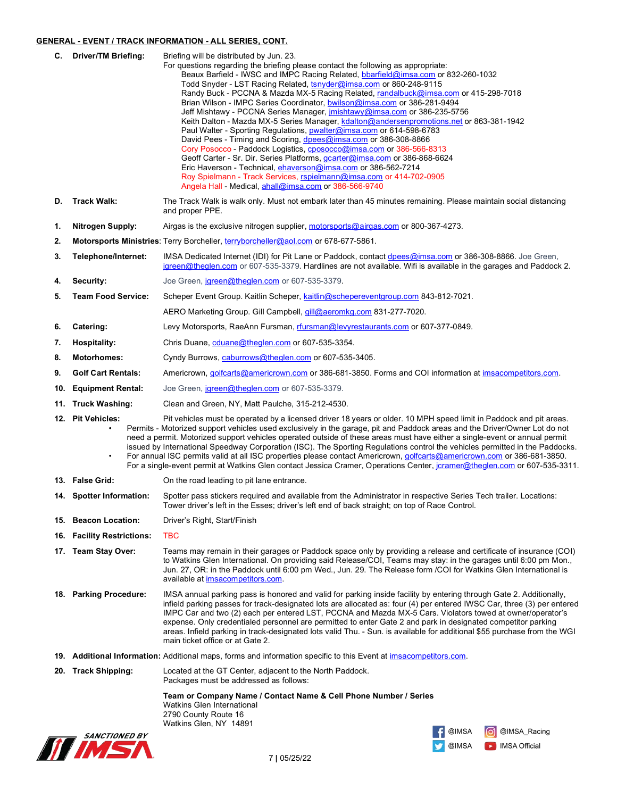# **GENERAL - EVENT / TRACK INFORMATION - ALL SERIES, CONT.**

|     | C. Driver/TM Briefing:     | Briefing will be distributed by Jun. 23.                                                                                                                                                                                                                |
|-----|----------------------------|---------------------------------------------------------------------------------------------------------------------------------------------------------------------------------------------------------------------------------------------------------|
|     |                            | For questions regarding the briefing please contact the following as appropriate:<br>Beaux Barfield - IWSC and IMPC Racing Related, bbarfield@imsa.com or 832-260-1032                                                                                  |
|     |                            | Todd Snyder - LST Racing Related, tsnyder@imsa.com or 860-248-9115                                                                                                                                                                                      |
|     |                            | Randy Buck - PCCNA & Mazda MX-5 Racing Related, randalbuck@imsa.com or 415-298-7018                                                                                                                                                                     |
|     |                            | Brian Wilson - IMPC Series Coordinator, bwilson@imsa.com or 386-281-9494                                                                                                                                                                                |
|     |                            | Jeff Mishtawy - PCCNA Series Manager, <i>imishtawy@imsa.com</i> or 386-235-5756<br>Keith Dalton - Mazda MX-5 Series Manager, kdalton@andersenpromotions.net or 863-381-1942                                                                             |
|     |                            | Paul Walter - Sporting Regulations, pwalter@imsa.com or 614-598-6783                                                                                                                                                                                    |
|     |                            | David Pees - Timing and Scoring, dpees@imsa.com or 386-308-8866                                                                                                                                                                                         |
|     |                            | Cory Posocco - Paddock Logistics, cposocco@imsa.com or 386-566-8313<br>Geoff Carter - Sr. Dir. Series Platforms, gcarter@imsa.com or 386-868-6624                                                                                                       |
|     |                            | Eric Haverson - Technical, ehaverson@imsa.com or 386-562-7214                                                                                                                                                                                           |
|     |                            | Roy Spielmann - Track Services, rspielmann@imsa.com or 414-702-0905<br>Angela Hall - Medical, ahall@imsa.com or 386-566-9740                                                                                                                            |
|     |                            |                                                                                                                                                                                                                                                         |
| D.  | <b>Track Walk:</b>         | The Track Walk is walk only. Must not embark later than 45 minutes remaining. Please maintain social distancing<br>and proper PPE.                                                                                                                      |
| 1.  | <b>Nitrogen Supply:</b>    | Airgas is the exclusive nitrogen supplier, motorsports@airgas.com or 800-367-4273.                                                                                                                                                                      |
| 2.  |                            | Motorsports Ministries: Terry Borcheller, terryborcheller@aol.com or 678-677-5861.                                                                                                                                                                      |
| 3.  | Telephone/Internet:        | IMSA Dedicated Internet (IDI) for Pit Lane or Paddock, contact dpees@imsa.com or 386-308-8866. Joe Green,<br>jgreen@theglen.com or 607-535-3379. Hardlines are not available. Wifi is available in the garages and Paddock 2.                           |
| 4.  | Security:                  | Joe Green, jareen@theglen.com or 607-535-3379.                                                                                                                                                                                                          |
| 5.  | <b>Team Food Service:</b>  | Scheper Event Group. Kaitlin Scheper, kaitlin@schepereventgroup.com 843-812-7021.                                                                                                                                                                       |
|     |                            | AERO Marketing Group. Gill Campbell, <i>gill@aeromkg.com</i> 831-277-7020.                                                                                                                                                                              |
| 6.  | Catering:                  | Levy Motorsports, RaeAnn Fursman, rfursman@levyrestaurants.com or 607-377-0849.                                                                                                                                                                         |
| 7.  | <b>Hospitality:</b>        | Chris Duane, cduane@theglen.com or 607-535-3354.                                                                                                                                                                                                        |
| 8.  | <b>Motorhomes:</b>         | Cyndy Burrows, caburrows@theglen.com or 607-535-3405.                                                                                                                                                                                                   |
| 9.  | <b>Golf Cart Rentals:</b>  | Americrown, golfcarts@americrown.com or 386-681-3850. Forms and COI information at imsacompetitors.com.                                                                                                                                                 |
| 10. | <b>Equipment Rental:</b>   | Joe Green, jareen@theglen.com or 607-535-3379.                                                                                                                                                                                                          |
|     | 11. Truck Washing:         | Clean and Green, NY, Matt Paulche, 315-212-4530.                                                                                                                                                                                                        |
|     | 12. Pit Vehicles:          |                                                                                                                                                                                                                                                         |
|     |                            | Pit vehicles must be operated by a licensed driver 18 years or older. 10 MPH speed limit in Paddock and pit areas.<br>Permits - Motorized support vehicles used exclusively in the garage, pit and Paddock areas and the Driver/Owner Lot do not        |
|     |                            | need a permit. Motorized support vehicles operated outside of these areas must have either a single-event or annual permit                                                                                                                              |
|     | $\bullet$                  | issued by International Speedway Corporation (ISC). The Sporting Regulations control the vehicles permitted in the Paddocks.<br>For annual ISC permits valid at all ISC properties please contact Americrown, golfcarts@americrown.com or 386-681-3850. |
|     |                            | For a single-event permit at Watkins Glen contact Jessica Cramer, Operations Center, jcramer@theglen.com or 607-535-3311.                                                                                                                               |
|     | 13. False Grid:            | On the road leading to pit lane entrance.                                                                                                                                                                                                               |
|     | 14. Spotter Information:   | Spotter pass stickers required and available from the Administrator in respective Series Tech trailer. Locations:                                                                                                                                       |
|     |                            | Tower driver's left in the Esses; driver's left end of back straight; on top of Race Control.                                                                                                                                                           |
|     | 15. Beacon Location:       | Driver's Right, Start/Finish                                                                                                                                                                                                                            |
|     | 16. Facility Restrictions: | <b>TBC</b>                                                                                                                                                                                                                                              |
|     | 17. Team Stay Over:        | Teams may remain in their garages or Paddock space only by providing a release and certificate of insurance (COI)                                                                                                                                       |
|     |                            | to Watkins Glen International. On providing said Release/COI, Teams may stay: in the garages until 6:00 pm Mon.,<br>Jun. 27, OR: in the Paddock until 6:00 pm Wed., Jun. 29. The Release form /COI for Watkins Glen International is                    |
|     |                            | available at <i>imsacompetitors.com</i> .                                                                                                                                                                                                               |
|     | 18. Parking Procedure:     | IMSA annual parking pass is honored and valid for parking inside facility by entering through Gate 2. Additionally,                                                                                                                                     |
|     |                            | infield parking passes for track-designated lots are allocated as: four (4) per entered IWSC Car, three (3) per entered                                                                                                                                 |
|     |                            | IMPC Car and two (2) each per entered LST, PCCNA and Mazda MX-5 Cars. Violators towed at owner/operator's<br>expense. Only credentialed personnel are permitted to enter Gate 2 and park in designated competitor parking                               |
|     |                            | areas. Infield parking in track-designated lots valid Thu. - Sun. is available for additional \$55 purchase from the WGI                                                                                                                                |
|     |                            | main ticket office or at Gate 2.                                                                                                                                                                                                                        |
|     |                            | 19. Additional Information: Additional maps, forms and information specific to this Event at imsacompetitors.com.                                                                                                                                       |
| 20. | <b>Track Shipping:</b>     | Located at the GT Center, adjacent to the North Paddock.<br>Packages must be addressed as follows:                                                                                                                                                      |
|     |                            | Team or Company Name / Contact Name & Cell Phone Number / Series                                                                                                                                                                                        |
|     |                            | <b>Watkins Glen International</b><br>2790 County Route 16                                                                                                                                                                                               |
|     |                            | Watkins Glen, NY 14891                                                                                                                                                                                                                                  |